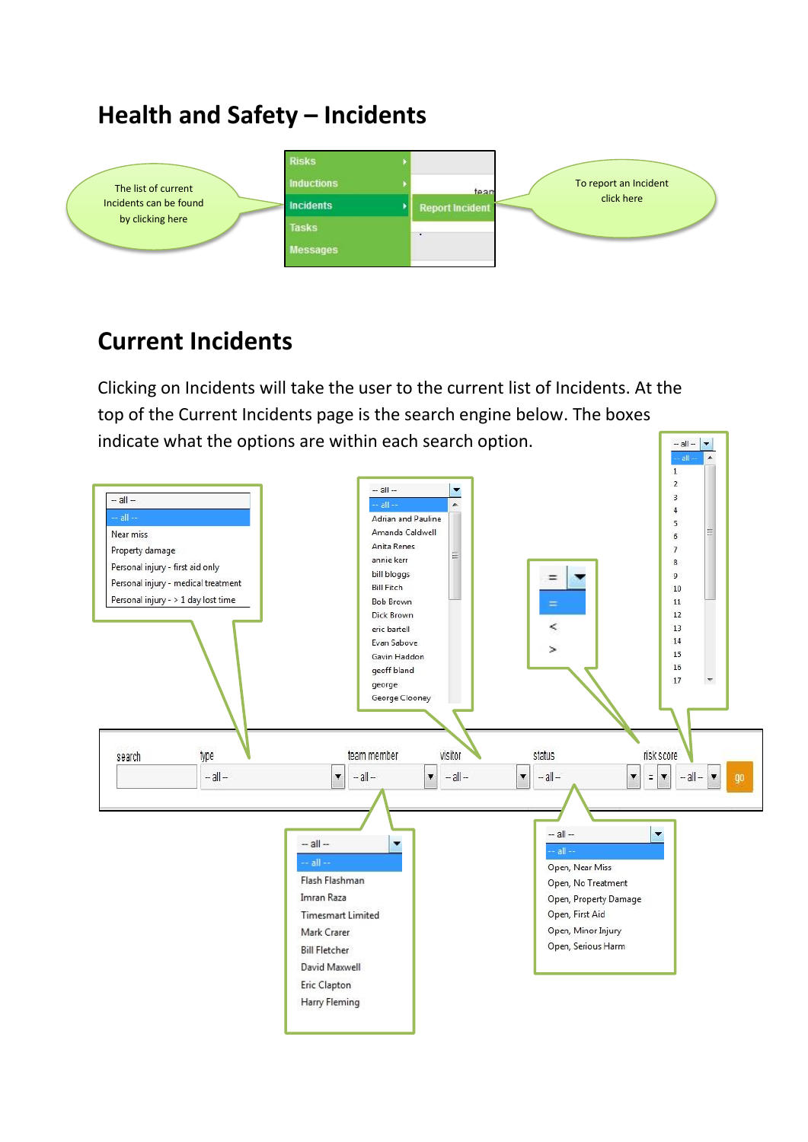## **Health and Safety – Incidents**



## **Current Incidents**

Clicking on Incidents will take the user to the current list of Incidents. At the top of the Current Incidents page is the search engine below. The boxes indicate what the options are within each search option.  $-$  all  $\blacktriangledown$ 

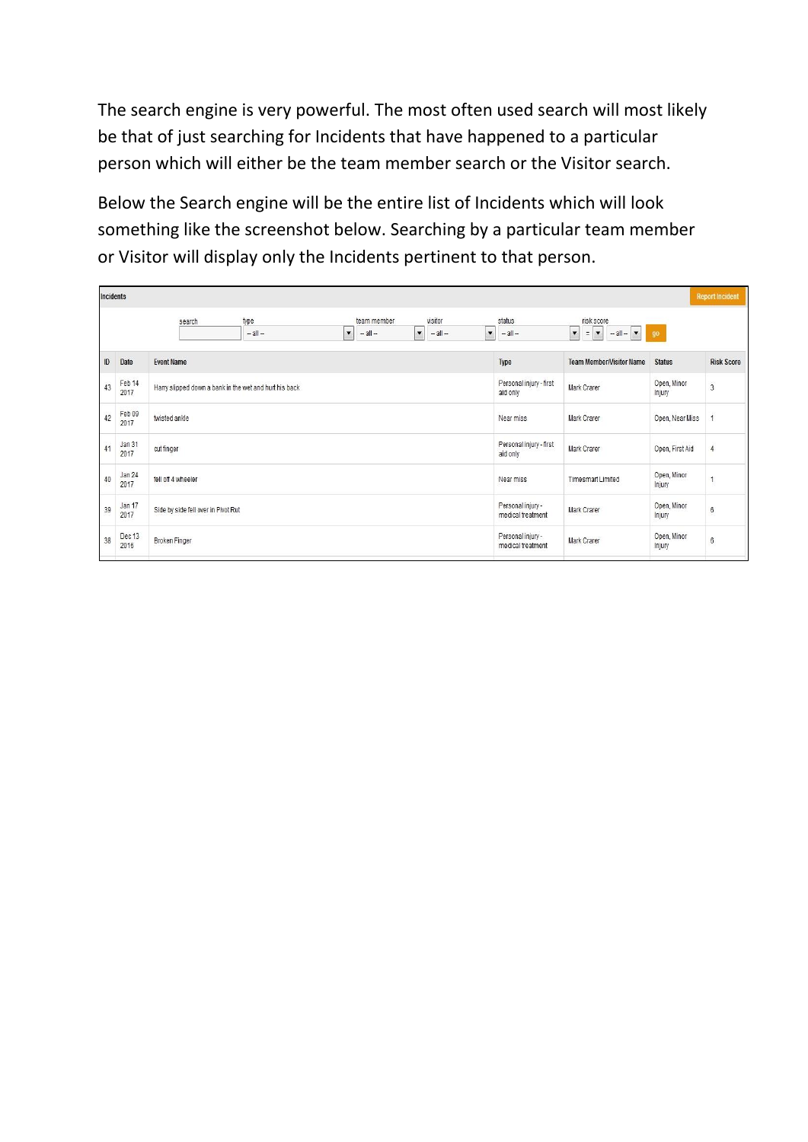The search engine is very powerful. The most often used search will most likely be that of just searching for Incidents that have happened to a particular person which will either be the team member search or the Visitor search.

Below the Search engine will be the entire list of Incidents which will look something like the screenshot below. Searching by a particular team member or Visitor will display only the Incidents pertinent to that person.

|    | <b>Incidents</b><br><b>Report Incident</b> |                                                        |                                                                            |                                                    |                                        |                                                                                                                   |                       |            |  |
|----|--------------------------------------------|--------------------------------------------------------|----------------------------------------------------------------------------|----------------------------------------------------|----------------------------------------|-------------------------------------------------------------------------------------------------------------------|-----------------------|------------|--|
|    |                                            | type<br>search<br>$-$ all $-$                          | team member<br>$\blacktriangledown$<br>$\blacktriangledown$<br>$-$ all $-$ | visitor<br>$-$ all $-$<br>$\overline{\phantom{a}}$ | status<br>$-$ all $-$                  | risk score<br>$=$ $\vert \mathbf{v} \vert$<br>$\overline{\phantom{a}}$<br>$-$ all $-$<br>$\overline{\phantom{a}}$ | go                    |            |  |
| ID | Date                                       | <b>Event Name</b>                                      |                                                                            | Type                                               | <b>Team Member/Visitor Name</b>        | <b>Status</b>                                                                                                     | <b>Risk Score</b>     |            |  |
| 43 | Feb 14<br>2017                             | Harry slipped down a bank in the wet and hurt his back | Personal injury - first<br>aid only                                        | Mark Crarer                                        | Open, Minor<br>Injury                  | $\overline{3}$                                                                                                    |                       |            |  |
| 42 | Feb 09<br>2017                             | twisted ankle                                          |                                                                            | Near miss                                          | Mark Crarer                            | Open, Near Miss                                                                                                   |                       |            |  |
| 41 | Jan 31<br>2017                             | cut finger                                             |                                                                            | Personal injury - first<br>aid only                | Mark Crarer                            | Open, First Aid                                                                                                   |                       |            |  |
| 40 | Jan 24<br>2017                             | fell off 4 wheeler                                     |                                                                            | Near miss                                          | Timesmart Limited                      | Open, Minor<br>Injury                                                                                             |                       |            |  |
| 39 | Jan 17<br>2017                             | Side by side fell over in Pivot Rut                    |                                                                            |                                                    | Personal injury -<br>medical treatment | Mark Crarer                                                                                                       | Open, Minor<br>Injury | 6          |  |
| 38 | Dec 13<br>2016                             | <b>Broken Finger</b>                                   |                                                                            |                                                    | Personal injury -<br>medical treatment | Mark Crarer                                                                                                       | Open, Minor<br>Injury | $^{\rm 6}$ |  |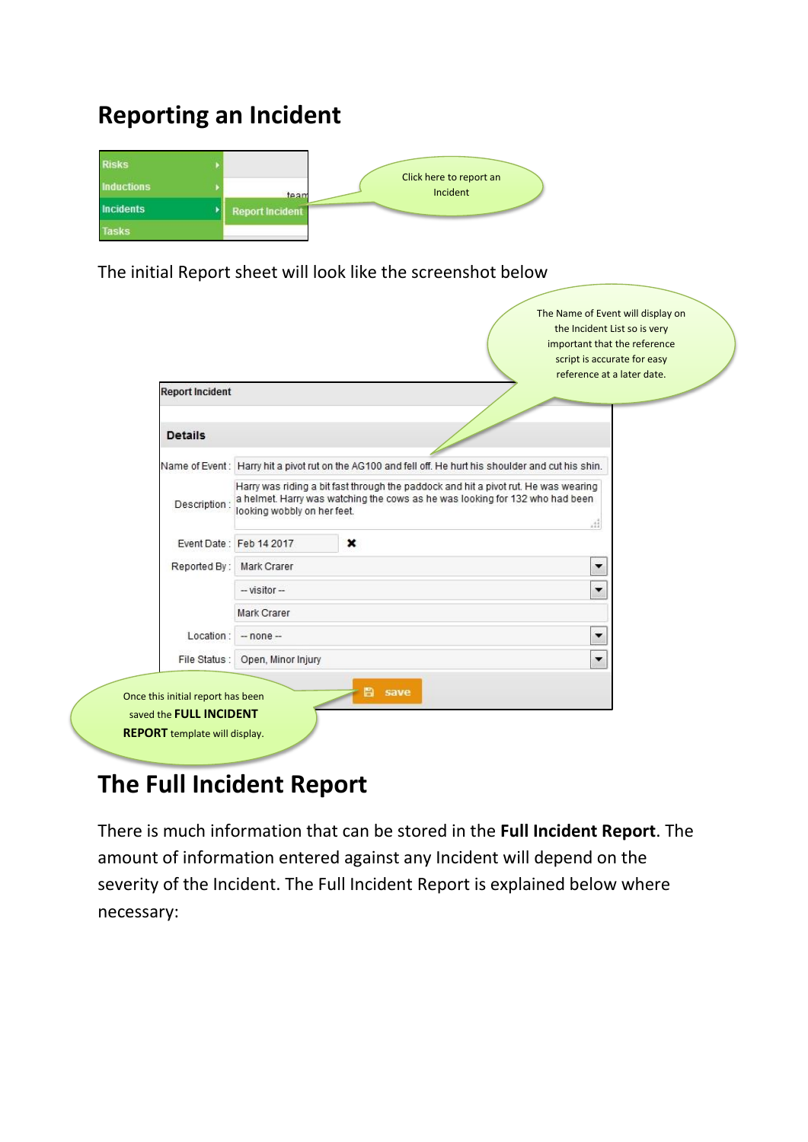## **Reporting an Incident**



The initial Report sheet will look like the screenshot below

| <b>Report Incident</b> |                                                                                                                                                                                                           |             |                                                                                                        | reference at a later date. |
|------------------------|-----------------------------------------------------------------------------------------------------------------------------------------------------------------------------------------------------------|-------------|--------------------------------------------------------------------------------------------------------|----------------------------|
| <b>Details</b>         |                                                                                                                                                                                                           |             |                                                                                                        |                            |
|                        |                                                                                                                                                                                                           |             | Name of Event: Harry hit a pivot rut on the AG100 and fell off. He hurt his shoulder and cut his shin. |                            |
| Description:           | Harry was riding a bit fast through the paddock and hit a pivot rut. He was wearing<br>a helmet. Harry was watching the cows as he was looking for 132 who had been<br>looking wobbly on her feet.<br>.11 |             |                                                                                                        |                            |
|                        | Event Date: Feb 14 2017                                                                                                                                                                                   | $\mathbf x$ |                                                                                                        |                            |
| Reported By:           | Mark Crarer                                                                                                                                                                                               |             |                                                                                                        | $\blacktriangledown$       |
|                        | $-$ visitor $-$                                                                                                                                                                                           |             |                                                                                                        | ▼                          |
|                        | Mark Crarer                                                                                                                                                                                               |             |                                                                                                        |                            |
| Location:              | $-$ none $-$                                                                                                                                                                                              |             |                                                                                                        | ▼                          |
|                        |                                                                                                                                                                                                           |             |                                                                                                        | $\blacktriangledown$       |

## **The Full Incident Report**

There is much information that can be stored in the **Full Incident Report**. The amount of information entered against any Incident will depend on the severity of the Incident. The Full Incident Report is explained below where necessary: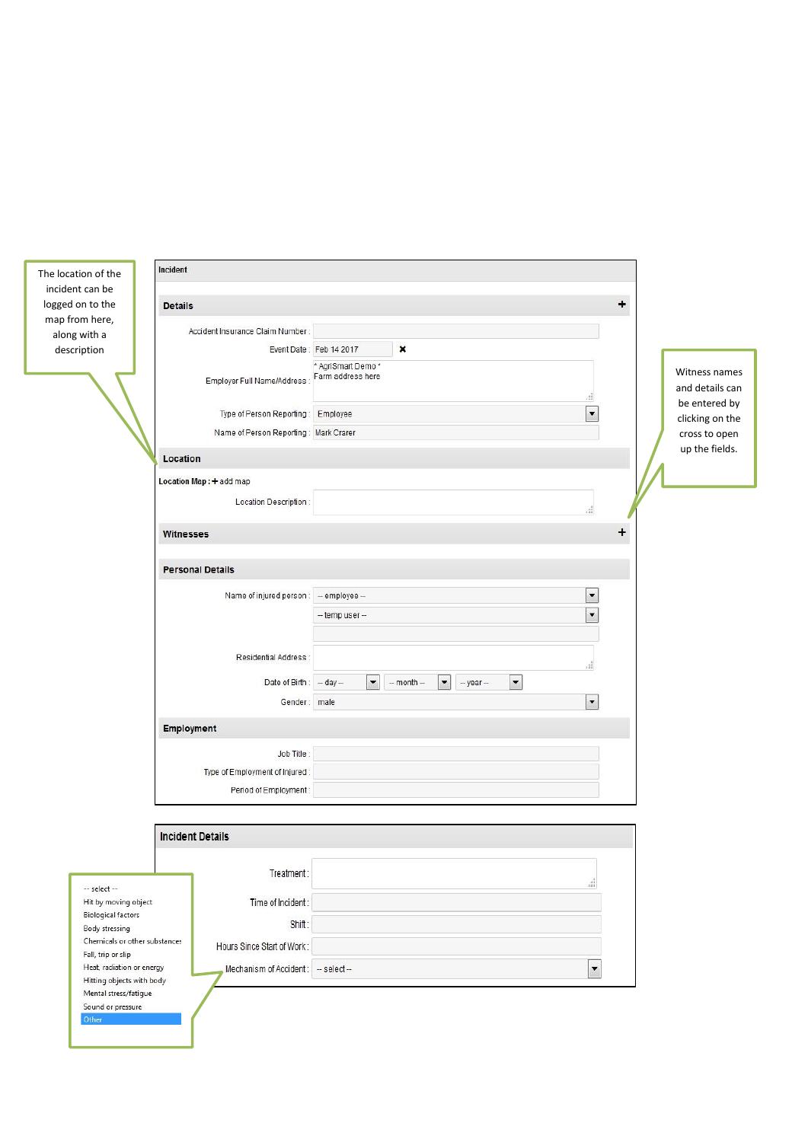| The location of the                                    | Incident                                                                             |                                                                                               |                                                                                   |                          |                                  |
|--------------------------------------------------------|--------------------------------------------------------------------------------------|-----------------------------------------------------------------------------------------------|-----------------------------------------------------------------------------------|--------------------------|----------------------------------|
| incident can be<br>logged on to the                    | <b>Details</b>                                                                       |                                                                                               |                                                                                   | $\ddot{}$                |                                  |
| map from here,                                         |                                                                                      |                                                                                               |                                                                                   |                          |                                  |
| along with a                                           | Accident Insurance Claim Number:                                                     | Event Date: Feb 14 2017                                                                       | $\pmb{\times}$                                                                    |                          |                                  |
| description                                            |                                                                                      | * AgriSmart Demo *                                                                            |                                                                                   |                          |                                  |
|                                                        |                                                                                      | Farm address here<br>Employer Full Name/Address :                                             |                                                                                   | di.                      | Witness names<br>and details can |
|                                                        |                                                                                      | $\blacksquare$<br>Type of Person Reporting: Employee<br>Name of Person Reporting: Mark Crarer |                                                                                   |                          | be entered by<br>clicking on the |
|                                                        |                                                                                      |                                                                                               |                                                                                   |                          | cross to open                    |
|                                                        | Location                                                                             |                                                                                               |                                                                                   |                          | up the fields.                   |
|                                                        | Location Map: + add map                                                              |                                                                                               |                                                                                   |                          |                                  |
|                                                        | Location Description :                                                               |                                                                                               |                                                                                   | di.                      |                                  |
|                                                        | Witnesses                                                                            |                                                                                               |                                                                                   | $\ddot{}$                |                                  |
|                                                        | <b>Personal Details</b>                                                              |                                                                                               |                                                                                   |                          |                                  |
|                                                        | Name of injured person :                                                             | $-$ employee $-$                                                                              |                                                                                   | $\overline{\phantom{a}}$ |                                  |
|                                                        |                                                                                      | $-$ temp user $-$                                                                             |                                                                                   | $\overline{\phantom{a}}$ |                                  |
|                                                        |                                                                                      |                                                                                               |                                                                                   |                          |                                  |
|                                                        | Residential Address :                                                                |                                                                                               |                                                                                   | $\epsilon_{\rm H}^2$     |                                  |
|                                                        | Date of Birth: - day -                                                               | $\overline{\phantom{a}}$                                                                      | $\overline{\phantom{a}}$<br>$-$ month $-$<br>$\blacktriangledown$<br>$-$ year $-$ |                          |                                  |
|                                                        | Gender: male                                                                         |                                                                                               |                                                                                   | $\blacktriangledown$     |                                  |
|                                                        | Employment                                                                           |                                                                                               |                                                                                   |                          |                                  |
|                                                        | Job Title:                                                                           |                                                                                               |                                                                                   |                          |                                  |
|                                                        | Type of Employment of Injured:                                                       |                                                                                               |                                                                                   |                          |                                  |
|                                                        | Period of Employment:                                                                |                                                                                               |                                                                                   |                          |                                  |
|                                                        |                                                                                      |                                                                                               |                                                                                   |                          |                                  |
|                                                        | <b>Incident Details</b>                                                              |                                                                                               |                                                                                   |                          |                                  |
|                                                        | $\begin{minipage}{.4\linewidth} \textbf{Treatment:} \end{minipage} \vspace{-0.03cm}$ |                                                                                               |                                                                                   |                          |                                  |
| -- select --                                           |                                                                                      |                                                                                               |                                                                                   | d.                       |                                  |
| Hit by moving object<br><b>Biological factors</b>      | Time of Incident:                                                                    |                                                                                               |                                                                                   |                          |                                  |
| Body stressing<br>Chemicals or other substances        | Shift:                                                                               |                                                                                               |                                                                                   |                          |                                  |
| Fall, trip or slip                                     | Hours Since Start of Work:                                                           |                                                                                               |                                                                                   |                          |                                  |
| Heat, radiation or energy<br>Hitting objects with body | Mechanism of Accident: - select-                                                     |                                                                                               |                                                                                   | $\overline{\phantom{a}}$ |                                  |
| Mental stress/fatigue                                  |                                                                                      |                                                                                               |                                                                                   |                          |                                  |
| Sound or pressure<br>Other                             |                                                                                      |                                                                                               |                                                                                   |                          |                                  |
|                                                        |                                                                                      |                                                                                               |                                                                                   |                          |                                  |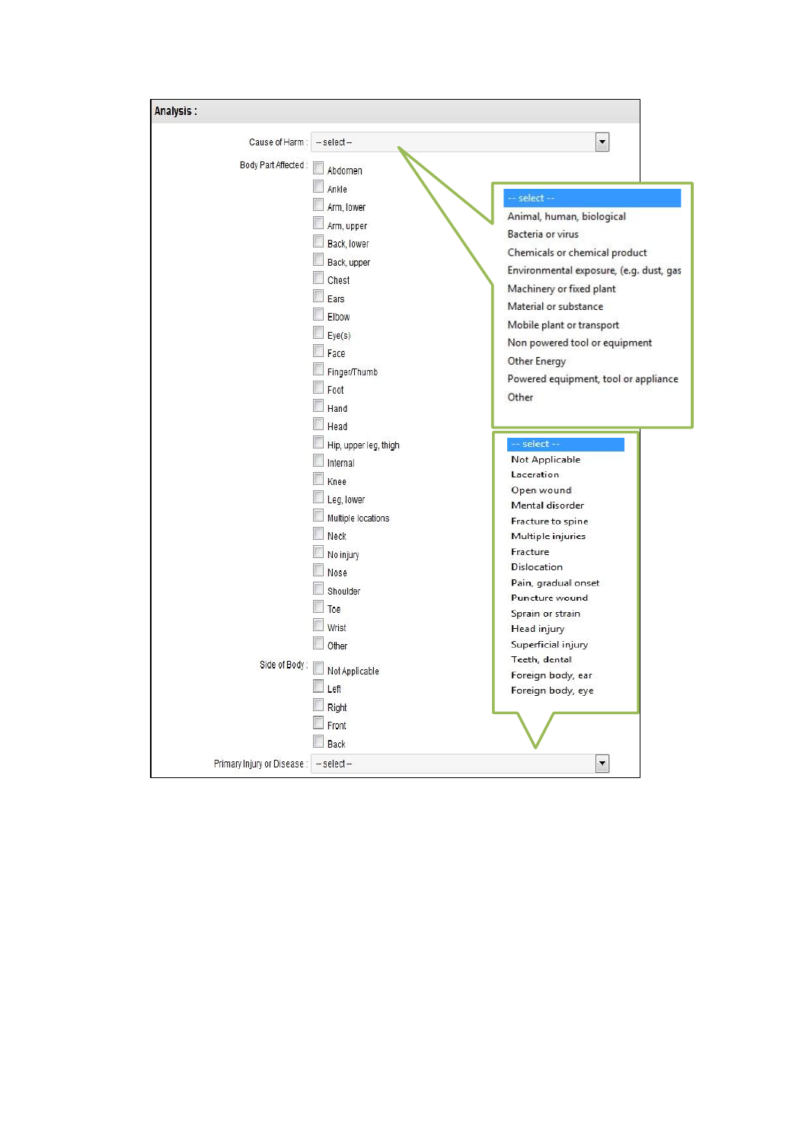